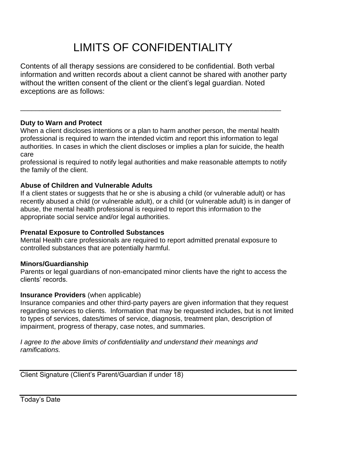# LIMITS OF CONFIDENTIALITY

Contents of all therapy sessions are considered to be confidential. Both verbal information and written records about a client cannot be shared with another party without the written consent of the client or the client's legal guardian. Noted exceptions are as follows:

## **Duty to Warn and Protect**

When a client discloses intentions or a plan to harm another person, the mental health professional is required to warn the intended victim and report this information to legal authorities. In cases in which the client discloses or implies a plan for suicide, the health care

\_\_\_\_\_\_\_\_\_\_\_\_\_\_\_\_\_\_\_\_\_\_\_\_\_\_\_\_\_\_\_\_\_\_\_\_\_\_\_\_\_\_\_\_\_\_\_\_\_\_\_\_\_\_\_\_\_\_\_\_\_\_\_\_\_\_\_\_\_

professional is required to notify legal authorities and make reasonable attempts to notify the family of the client.

### **Abuse of Children and Vulnerable Adults**

If a client states or suggests that he or she is abusing a child (or vulnerable adult) or has recently abused a child (or vulnerable adult), or a child (or vulnerable adult) is in danger of abuse, the mental health professional is required to report this information to the appropriate social service and/or legal authorities.

# **Prenatal Exposure to Controlled Substances**

Mental Health care professionals are required to report admitted prenatal exposure to controlled substances that are potentially harmful.

### **Minors/Guardianship**

Parents or legal guardians of non-emancipated minor clients have the right to access the clients' records.

### **Insurance Providers** (when applicable)

Insurance companies and other third-party payers are given information that they request regarding services to clients. Information that may be requested includes, but is not limited to types of services, dates/times of service, diagnosis, treatment plan, description of impairment, progress of therapy, case notes, and summaries.

*I agree to the above limits of confidentiality and understand their meanings and ramifications.*

Client Signature (Client's Parent/Guardian if under 18)